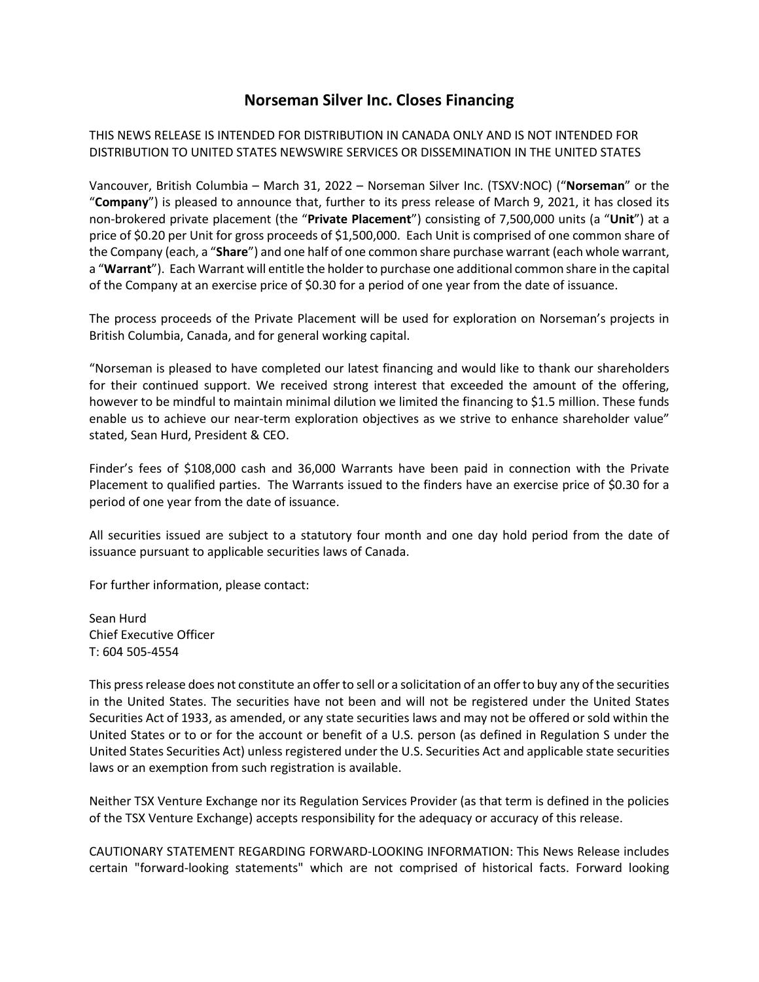## **Norseman Silver Inc. Closes Financing**

THIS NEWS RELEASE IS INTENDED FOR DISTRIBUTION IN CANADA ONLY AND IS NOT INTENDED FOR DISTRIBUTION TO UNITED STATES NEWSWIRE SERVICES OR DISSEMINATION IN THE UNITED STATES

Vancouver, British Columbia – March 31, 2022 – Norseman Silver Inc. (TSXV:NOC) ("**Norseman**" or the "**Company**") is pleased to announce that, further to its press release of March 9, 2021, it has closed its non-brokered private placement (the "**Private Placement**") consisting of 7,500,000 units (a "**Unit**") at a price of \$0.20 per Unit for gross proceeds of \$1,500,000. Each Unit is comprised of one common share of the Company (each, a "**Share**") and one half of one common share purchase warrant (each whole warrant, a "**Warrant**"). Each Warrant will entitle the holder to purchase one additional common share in the capital of the Company at an exercise price of \$0.30 for a period of one year from the date of issuance.

The process proceeds of the Private Placement will be used for exploration on Norseman's projects in British Columbia, Canada, and for general working capital.

"Norseman is pleased to have completed our latest financing and would like to thank our shareholders for their continued support. We received strong interest that exceeded the amount of the offering, however to be mindful to maintain minimal dilution we limited the financing to \$1.5 million. These funds enable us to achieve our near-term exploration objectives as we strive to enhance shareholder value" stated, Sean Hurd, President & CEO.

Finder's fees of \$108,000 cash and 36,000 Warrants have been paid in connection with the Private Placement to qualified parties. The Warrants issued to the finders have an exercise price of \$0.30 for a period of one year from the date of issuance.

All securities issued are subject to a statutory four month and one day hold period from the date of issuance pursuant to applicable securities laws of Canada.

For further information, please contact:

Sean Hurd Chief Executive Officer T: 604 505-4554

This press release does not constitute an offer to sell or a solicitation of an offer to buy any of the securities in the United States. The securities have not been and will not be registered under the United States Securities Act of 1933, as amended, or any state securities laws and may not be offered or sold within the United States or to or for the account or benefit of a U.S. person (as defined in Regulation S under the United States Securities Act) unless registered under the U.S. Securities Act and applicable state securities laws or an exemption from such registration is available.

Neither TSX Venture Exchange nor its Regulation Services Provider (as that term is defined in the policies of the TSX Venture Exchange) accepts responsibility for the adequacy or accuracy of this release.

CAUTIONARY STATEMENT REGARDING FORWARD-LOOKING INFORMATION: This News Release includes certain "forward-looking statements" which are not comprised of historical facts. Forward looking